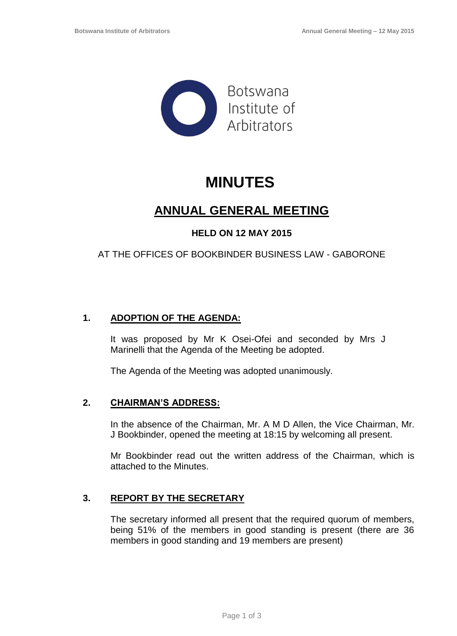

# **MINUTES**

# **ANNUAL GENERAL MEETING**

# **HELD ON 12 MAY 2015**

# AT THE OFFICES OF BOOKBINDER BUSINESS LAW - GABORONE

## **1. ADOPTION OF THE AGENDA:**

It was proposed by Mr K Osei-Ofei and seconded by Mrs J Marinelli that the Agenda of the Meeting be adopted.

The Agenda of the Meeting was adopted unanimously.

#### **2. CHAIRMAN'S ADDRESS:**

In the absence of the Chairman, Mr. A M D Allen, the Vice Chairman, Mr. J Bookbinder, opened the meeting at 18:15 by welcoming all present.

Mr Bookbinder read out the written address of the Chairman, which is attached to the Minutes.

## **3. REPORT BY THE SECRETARY**

The secretary informed all present that the required quorum of members, being 51% of the members in good standing is present (there are 36 members in good standing and 19 members are present)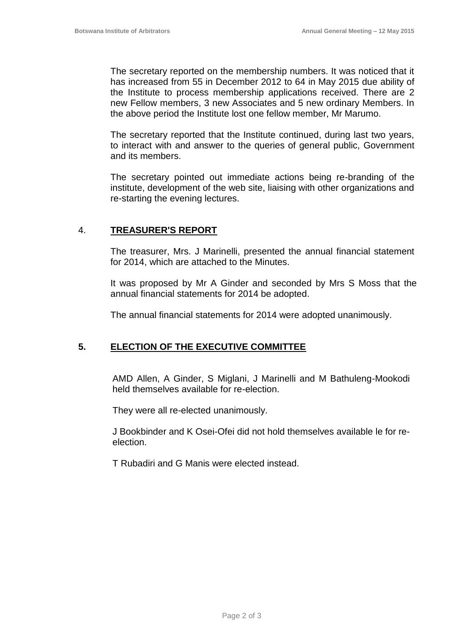The secretary reported on the membership numbers. It was noticed that it has increased from 55 in December 2012 to 64 in May 2015 due ability of the Institute to process membership applications received. There are 2 new Fellow members, 3 new Associates and 5 new ordinary Members. In the above period the Institute lost one fellow member, Mr Marumo.

The secretary reported that the Institute continued, during last two years, to interact with and answer to the queries of general public, Government and its members.

The secretary pointed out immediate actions being re-branding of the institute, development of the web site, liaising with other organizations and re-starting the evening lectures.

#### 4. **TREASURER'S REPORT**

The treasurer, Mrs. J Marinelli, presented the annual financial statement for 2014, which are attached to the Minutes.

It was proposed by Mr A Ginder and seconded by Mrs S Moss that the annual financial statements for 2014 be adopted.

The annual financial statements for 2014 were adopted unanimously.

## **5. ELECTION OF THE EXECUTIVE COMMITTEE**

AMD Allen, A Ginder, S Miglani, J Marinelli and M Bathuleng-Mookodi held themselves available for re-election.

They were all re-elected unanimously.

J Bookbinder and K Osei-Ofei did not hold themselves available le for reelection.

T Rubadiri and G Manis were elected instead.